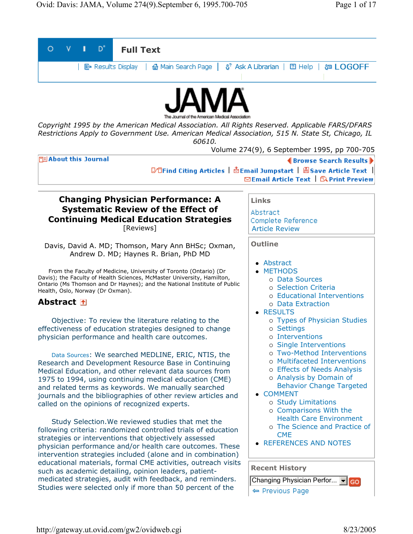| D°<br><b>Full Text</b>                                                                                                                                                                                                                                                                                                                                                                                                                                                                                                                                                                                                                                                                                                                                                                                                                                                                                                                                                                                                                                                                                                                                                                                                                                                     |                                                                                                                                                                                                                                                                                                                                                                                                                                                                                                                                                                                                    |
|----------------------------------------------------------------------------------------------------------------------------------------------------------------------------------------------------------------------------------------------------------------------------------------------------------------------------------------------------------------------------------------------------------------------------------------------------------------------------------------------------------------------------------------------------------------------------------------------------------------------------------------------------------------------------------------------------------------------------------------------------------------------------------------------------------------------------------------------------------------------------------------------------------------------------------------------------------------------------------------------------------------------------------------------------------------------------------------------------------------------------------------------------------------------------------------------------------------------------------------------------------------------------|----------------------------------------------------------------------------------------------------------------------------------------------------------------------------------------------------------------------------------------------------------------------------------------------------------------------------------------------------------------------------------------------------------------------------------------------------------------------------------------------------------------------------------------------------------------------------------------------------|
| 8 <sup>®</sup> Ask A Librarian   图 Help   <sub>8</sub> <sub>3</sub> LOGOFF<br>B Results Display<br>6 Main Search Page                                                                                                                                                                                                                                                                                                                                                                                                                                                                                                                                                                                                                                                                                                                                                                                                                                                                                                                                                                                                                                                                                                                                                      |                                                                                                                                                                                                                                                                                                                                                                                                                                                                                                                                                                                                    |
|                                                                                                                                                                                                                                                                                                                                                                                                                                                                                                                                                                                                                                                                                                                                                                                                                                                                                                                                                                                                                                                                                                                                                                                                                                                                            |                                                                                                                                                                                                                                                                                                                                                                                                                                                                                                                                                                                                    |
| Copyright 1995 by the American Medical Association. All Rights Reserved. Applicable FARS/DFARS<br>Restrictions Apply to Government Use. American Medical Association, 515 N. State St, Chicago, IL<br>60610.<br>Volume 274(9), 6 September 1995, pp 700-705                                                                                                                                                                                                                                                                                                                                                                                                                                                                                                                                                                                                                                                                                                                                                                                                                                                                                                                                                                                                                |                                                                                                                                                                                                                                                                                                                                                                                                                                                                                                                                                                                                    |
| <b>TE About this Journal</b><br><b>《Browse Search Results》</b><br>Ⅳ OFind Citing Articles │ 白Email Jumpstart │ 圖Save Article Text │<br><b>⊠Email Article Text</b>   <b><i>APrint Preview</i></b>                                                                                                                                                                                                                                                                                                                                                                                                                                                                                                                                                                                                                                                                                                                                                                                                                                                                                                                                                                                                                                                                           |                                                                                                                                                                                                                                                                                                                                                                                                                                                                                                                                                                                                    |
| <b>Changing Physician Performance: A</b><br><b>Systematic Review of the Effect of</b><br><b>Continuing Medical Education Strategies</b><br>[Reviews]                                                                                                                                                                                                                                                                                                                                                                                                                                                                                                                                                                                                                                                                                                                                                                                                                                                                                                                                                                                                                                                                                                                       | <b>Links</b><br>Abstract<br>Complete Reference<br><b>Article Review</b>                                                                                                                                                                                                                                                                                                                                                                                                                                                                                                                            |
| Davis, David A. MD; Thomson, Mary Ann BHSc; Oxman,<br>Andrew D. MD; Haynes R. Brian, PhD MD<br>From the Faculty of Medicine, University of Toronto (Ontario) (Dr<br>Davis); the Faculty of Health Sciences, McMaster University, Hamilton,<br>Ontario (Ms Thomson and Dr Haynes); and the National Institute of Public<br>Health, Oslo, Norway (Dr Oxman).<br><b>Abstract 1</b><br>Objective: To review the literature relating to the<br>effectiveness of education strategies designed to change<br>physician performance and health care outcomes.<br>Data Sources: We searched MEDLINE, ERIC, NTIS, the<br>Research and Development Resource Base in Continuing<br>Medical Education, and other relevant data sources from<br>1975 to 1994, using continuing medical education (CME)<br>and related terms as keywords. We manually searched<br>journals and the bibliographies of other review articles and<br>called on the opinions of recognized experts.<br>Study Selection. We reviewed studies that met the<br>following criteria: randomized controlled trials of education<br>strategies or interventions that objectively assessed<br>physician performance and/or health care outcomes. These<br>intervention strategies included (alone and in combination) | <b>Outline</b><br>• Abstract<br><b>METHODS</b><br>o Data Sources<br>o Selection Criteria<br>o Educational Interventions<br>o Data Extraction<br>• RESULTS<br>o Types of Physician Studies<br>o Settings<br>o Interventions<br>o Single Interventions<br>o Two-Method Interventions<br>o Multifaceted Interventions<br>o Effects of Needs Analysis<br>o Analysis by Domain of<br><b>Behavior Change Targeted</b><br><b>COMMENT</b><br>o Study Limitations<br>o Comparisons With the<br><b>Health Care Environment</b><br>o The Science and Practice of<br><b>CME</b><br><b>REFERENCES AND NOTES</b> |
| educational materials, formal CME activities, outreach visits<br>such as academic detailing, opinion leaders, patient-<br>medicated strategies, audit with feedback, and reminders.<br>Studies were selected only if more than 50 percent of the                                                                                                                                                                                                                                                                                                                                                                                                                                                                                                                                                                                                                                                                                                                                                                                                                                                                                                                                                                                                                           | <b>Recent History</b><br>Changing Physician Perfor To<br>← Previous Page                                                                                                                                                                                                                                                                                                                                                                                                                                                                                                                           |

http://gateway.ut.ovid.com/gw2/ovidweb.cgi 8/23/2005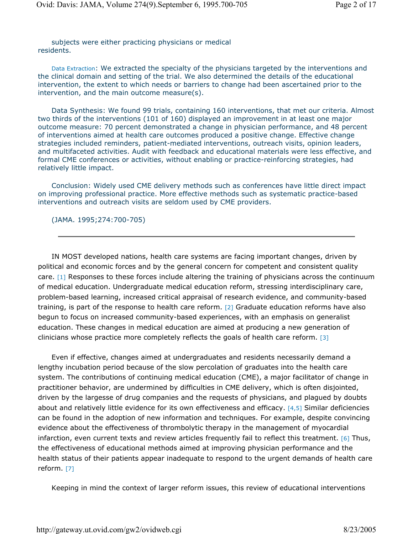subjects were either practicing physicians or medical residents.

Data Extraction: We extracted the specialty of the physicians targeted by the interventions and the clinical domain and setting of the trial. We also determined the details of the educational intervention, the extent to which needs or barriers to change had been ascertained prior to the intervention, and the main outcome measure(s).

Data Synthesis: We found 99 trials, containing 160 interventions, that met our criteria. Almost two thirds of the interventions (101 of 160) displayed an improvement in at least one major outcome measure: 70 percent demonstrated a change in physician performance, and 48 percent of interventions aimed at health care outcomes produced a positive change. Effective change strategies included reminders, patient-mediated interventions, outreach visits, opinion leaders, and multifaceted activities. Audit with feedback and educational materials were less effective, and formal CME conferences or activities, without enabling or practice-reinforcing strategies, had relatively little impact.

Conclusion: Widely used CME delivery methods such as conferences have little direct impact on improving professional practice. More effective methods such as systematic practice-based interventions and outreach visits are seldom used by CME providers.

(JAMA. 1995;274:700-705)

IN MOST developed nations, health care systems are facing important changes, driven by political and economic forces and by the general concern for competent and consistent quality care. [1] Responses to these forces include altering the training of physicians across the continuum of medical education. Undergraduate medical education reform, stressing interdisciplinary care, problem-based learning, increased critical appraisal of research evidence, and community-based training, is part of the response to health care reform. [2] Graduate education reforms have also begun to focus on increased community-based experiences, with an emphasis on generalist education. These changes in medical education are aimed at producing a new generation of clinicians whose practice more completely reflects the goals of health care reform. [3]

Even if effective, changes aimed at undergraduates and residents necessarily demand a lengthy incubation period because of the slow percolation of graduates into the health care system. The contributions of continuing medical education (CME), a major facilitator of change in practitioner behavior, are undermined by difficulties in CME delivery, which is often disjointed, driven by the largesse of drug companies and the requests of physicians, and plagued by doubts about and relatively little evidence for its own effectiveness and efficacy. [4,5] Similar deficiencies can be found in the adoption of new information and techniques. For example, despite convincing evidence about the effectiveness of thrombolytic therapy in the management of myocardial infarction, even current texts and review articles frequently fail to reflect this treatment. [6] Thus, the effectiveness of educational methods aimed at improving physician performance and the health status of their patients appear inadequate to respond to the urgent demands of health care reform. [7]

Keeping in mind the context of larger reform issues, this review of educational interventions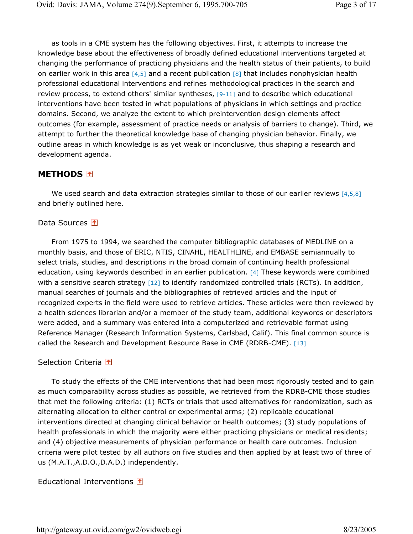as tools in a CME system has the following objectives. First, it attempts to increase the knowledge base about the effectiveness of broadly defined educational interventions targeted at changing the performance of practicing physicians and the health status of their patients, to build on earlier work in this area  $[4,5]$  and a recent publication  $[8]$  that includes nonphysician health professional educational interventions and refines methodological practices in the search and review process, to extend others' similar syntheses, [9-11] and to describe which educational interventions have been tested in what populations of physicians in which settings and practice domains. Second, we analyze the extent to which preintervention design elements affect outcomes (for example, assessment of practice needs or analysis of barriers to change). Third, we attempt to further the theoretical knowledge base of changing physician behavior. Finally, we outline areas in which knowledge is as yet weak or inconclusive, thus shaping a research and development agenda.

# **METHODS**

We used search and data extraction strategies similar to those of our earlier reviews  $[4,5,8]$ and briefly outlined here.

## Data Sources 1

From 1975 to 1994, we searched the computer bibliographic databases of MEDLINE on a monthly basis, and those of ERIC, NTIS, CINAHL, HEALTHLINE, and EMBASE semiannually to select trials, studies, and descriptions in the broad domain of continuing health professional education, using keywords described in an earlier publication. [4] These keywords were combined with a sensitive search strategy [12] to identify randomized controlled trials (RCTs). In addition, manual searches of journals and the bibliographies of retrieved articles and the input of recognized experts in the field were used to retrieve articles. These articles were then reviewed by a health sciences librarian and/or a member of the study team, additional keywords or descriptors were added, and a summary was entered into a computerized and retrievable format using Reference Manager (Research Information Systems, Carlsbad, Calif). This final common source is called the Research and Development Resource Base in CME (RDRB-CME). [13]

## Selection Criteria 1

To study the effects of the CME interventions that had been most rigorously tested and to gain as much comparability across studies as possible, we retrieved from the RDRB-CME those studies that met the following criteria: (1) RCTs or trials that used alternatives for randomization, such as alternating allocation to either control or experimental arms; (2) replicable educational interventions directed at changing clinical behavior or health outcomes; (3) study populations of health professionals in which the majority were either practicing physicians or medical residents; and (4) objective measurements of physician performance or health care outcomes. Inclusion criteria were pilot tested by all authors on five studies and then applied by at least two of three of us (M.A.T.,A.D.O.,D.A.D.) independently.

## Educational Interventions 1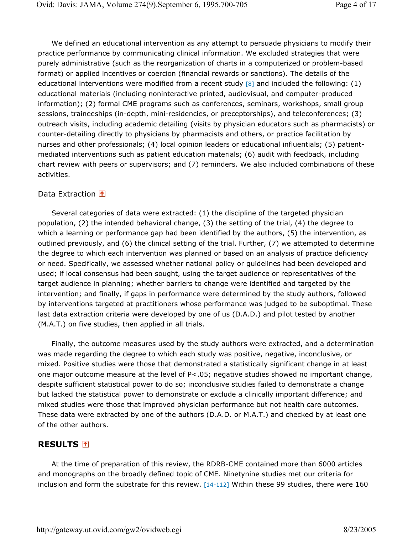We defined an educational intervention as any attempt to persuade physicians to modify their practice performance by communicating clinical information. We excluded strategies that were purely administrative (such as the reorganization of charts in a computerized or problem-based format) or applied incentives or coercion (financial rewards or sanctions). The details of the educational interventions were modified from a recent study  $[8]$  and included the following: (1) educational materials (including noninteractive printed, audiovisual, and computer-produced information); (2) formal CME programs such as conferences, seminars, workshops, small group sessions, traineeships (in-depth, mini-residencies, or preceptorships), and teleconferences; (3) outreach visits, including academic detailing (visits by physician educators such as pharmacists) or counter-detailing directly to physicians by pharmacists and others, or practice facilitation by nurses and other professionals; (4) local opinion leaders or educational influentials; (5) patientmediated interventions such as patient education materials; (6) audit with feedback, including chart review with peers or supervisors; and (7) reminders. We also included combinations of these activities.

## Data Extraction 1

Several categories of data were extracted: (1) the discipline of the targeted physician population, (2) the intended behavioral change, (3) the setting of the trial, (4) the degree to which a learning or performance gap had been identified by the authors, (5) the intervention, as outlined previously, and (6) the clinical setting of the trial. Further, (7) we attempted to determine the degree to which each intervention was planned or based on an analysis of practice deficiency or need. Specifically, we assessed whether national policy or guidelines had been developed and used; if local consensus had been sought, using the target audience or representatives of the target audience in planning; whether barriers to change were identified and targeted by the intervention; and finally, if gaps in performance were determined by the study authors, followed by interventions targeted at practitioners whose performance was judged to be suboptimal. These last data extraction criteria were developed by one of us (D.A.D.) and pilot tested by another (M.A.T.) on five studies, then applied in all trials.

Finally, the outcome measures used by the study authors were extracted, and a determination was made regarding the degree to which each study was positive, negative, inconclusive, or mixed. Positive studies were those that demonstrated a statistically significant change in at least one major outcome measure at the level of P<.05; negative studies showed no important change, despite sufficient statistical power to do so; inconclusive studies failed to demonstrate a change but lacked the statistical power to demonstrate or exclude a clinically important difference; and mixed studies were those that improved physician performance but not health care outcomes. These data were extracted by one of the authors (D.A.D. or M.A.T.) and checked by at least one of the other authors.

## **RESULTS**

At the time of preparation of this review, the RDRB-CME contained more than 6000 articles and monographs on the broadly defined topic of CME. Ninetynine studies met our criteria for inclusion and form the substrate for this review. [14-112] Within these 99 studies, there were 160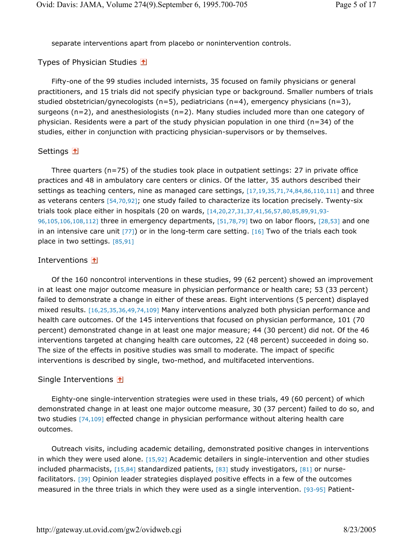separate interventions apart from placebo or nonintervention controls.

#### Types of Physician Studies 1

Fifty-one of the 99 studies included internists, 35 focused on family physicians or general practitioners, and 15 trials did not specify physician type or background. Smaller numbers of trials studied obstetrician/gynecologists  $(n=5)$ , pediatricians  $(n=4)$ , emergency physicians  $(n=3)$ , surgeons (n=2), and anesthesiologists (n=2). Many studies included more than one category of physician. Residents were a part of the study physician population in one third (n=34) of the studies, either in conjunction with practicing physician-supervisors or by themselves.

#### Settings 1

Three quarters (n=75) of the studies took place in outpatient settings: 27 in private office practices and 48 in ambulatory care centers or clinics. Of the latter, 35 authors described their settings as teaching centers, nine as managed care settings, [17,19,35,71,74,84,86,110,111] and three as veterans centers [54,70,92]; one study failed to characterize its location precisely. Twenty-six trials took place either in hospitals (20 on wards, [14,20,27,31,37,41,56,57,80,85,89,91,93- 96,105,106,108,112] three in emergency departments, [51,78,79] two on labor floors, [28,53] and one in an intensive care unit [77]) or in the long-term care setting. [16] Two of the trials each took place in two settings. [85,91]

#### Interventions **1**

Of the 160 noncontrol interventions in these studies, 99 (62 percent) showed an improvement in at least one major outcome measure in physician performance or health care; 53 (33 percent) failed to demonstrate a change in either of these areas. Eight interventions (5 percent) displayed mixed results. [16,25,35,36,49,74,109] Many interventions analyzed both physician performance and health care outcomes. Of the 145 interventions that focused on physician performance, 101 (70 percent) demonstrated change in at least one major measure; 44 (30 percent) did not. Of the 46 interventions targeted at changing health care outcomes, 22 (48 percent) succeeded in doing so. The size of the effects in positive studies was small to moderate. The impact of specific interventions is described by single, two-method, and multifaceted interventions.

#### Single Interventions  $\textcolor{red}{\blacktriangle}$

Eighty-one single-intervention strategies were used in these trials, 49 (60 percent) of which demonstrated change in at least one major outcome measure, 30 (37 percent) failed to do so, and two studies [74,109] effected change in physician performance without altering health care outcomes.

Outreach visits, including academic detailing, demonstrated positive changes in interventions in which they were used alone. [15,92] Academic detailers in single-intervention and other studies included pharmacists, [15,84] standardized patients, [83] study investigators, [81] or nursefacilitators. [39] Opinion leader strategies displayed positive effects in a few of the outcomes measured in the three trials in which they were used as a single intervention. [93-95] Patient-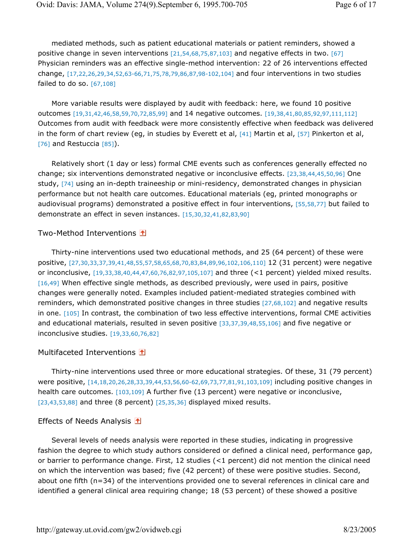mediated methods, such as patient educational materials or patient reminders, showed a positive change in seven interventions  $[21,54,68,75,87,103]$  and negative effects in two.  $[67]$ Physician reminders was an effective single-method intervention: 22 of 26 interventions effected change, [17,22,26,29,34,52,63-66,71,75,78,79,86,87,98-102,104] and four interventions in two studies failed to do so.  $[67, 108]$ 

More variable results were displayed by audit with feedback: here, we found 10 positive outcomes [19,31,42,46,58,59,70,72,85,99] and 14 negative outcomes. [19,38,41,80,85,92,97,111,112] Outcomes from audit with feedback were more consistently effective when feedback was delivered in the form of chart review (eg, in studies by Everett et al, [41] Martin et al, [57] Pinkerton et al, [76] and Restuccia [85]).

Relatively short (1 day or less) formal CME events such as conferences generally effected no change; six interventions demonstrated negative or inconclusive effects. [23,38,44,45,50,96] One study, [74] using an in-depth traineeship or mini-residency, demonstrated changes in physician performance but not health care outcomes. Educational materials (eg, printed monographs or audiovisual programs) demonstrated a positive effect in four interventions, [55,58,77] but failed to demonstrate an effect in seven instances. [15,30,32,41,82,83,90]

## Two-Method Interventions 1

Thirty-nine interventions used two educational methods, and 25 (64 percent) of these were positive, [27,30,33,37,39,41,48,55,57,58,65,68,70,83,84,89,96,102,106,110] 12 (31 percent) were negative or inconclusive, [19,33,38,40,44,47,60,76,82,97,105,107] and three (<1 percent) yielded mixed results. [16,49] When effective single methods, as described previously, were used in pairs, positive changes were generally noted. Examples included patient-mediated strategies combined with reminders, which demonstrated positive changes in three studies [27,68,102] and negative results in one. [105] In contrast, the combination of two less effective interventions, formal CME activities and educational materials, resulted in seven positive [33,37,39,48,55,106] and five negative or inconclusive studies. [19,33,60,76,82]

## Multifaceted Interventions 1

Thirty-nine interventions used three or more educational strategies. Of these, 31 (79 percent) were positive, [14,18,20,26,28,33,39,44,53,56,60-62,69,73,77,81,91,103,109] including positive changes in health care outcomes. [103,109] A further five (13 percent) were negative or inconclusive,  $[23,43,53,88]$  and three (8 percent)  $[25,35,36]$  displayed mixed results.

## Effects of Needs Analysis  $\blacksquare$

Several levels of needs analysis were reported in these studies, indicating in progressive fashion the degree to which study authors considered or defined a clinical need, performance gap, or barrier to performance change. First, 12 studies (<1 percent) did not mention the clinical need on which the intervention was based; five (42 percent) of these were positive studies. Second, about one fifth (n=34) of the interventions provided one to several references in clinical care and identified a general clinical area requiring change; 18 (53 percent) of these showed a positive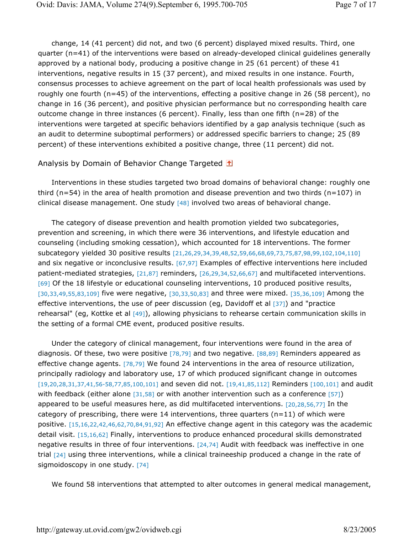change, 14 (41 percent) did not, and two (6 percent) displayed mixed results. Third, one quarter (n=41) of the interventions were based on already-developed clinical guidelines generally approved by a national body, producing a positive change in 25 (61 percent) of these 41 interventions, negative results in 15 (37 percent), and mixed results in one instance. Fourth, consensus processes to achieve agreement on the part of local health professionals was used by roughly one fourth (n=45) of the interventions, effecting a positive change in 26 (58 percent), no change in 16 (36 percent), and positive physician performance but no corresponding health care outcome change in three instances (6 percent). Finally, less than one fifth (n=28) of the interventions were targeted at specific behaviors identified by a gap analysis technique (such as an audit to determine suboptimal performers) or addressed specific barriers to change; 25 (89 percent) of these interventions exhibited a positive change, three (11 percent) did not.

#### Analysis by Domain of Behavior Change Targeted **1**

Interventions in these studies targeted two broad domains of behavioral change: roughly one third ( $n=54$ ) in the area of health promotion and disease prevention and two thirds ( $n=107$ ) in clinical disease management. One study [48] involved two areas of behavioral change.

The category of disease prevention and health promotion yielded two subcategories, prevention and screening, in which there were 36 interventions, and lifestyle education and counseling (including smoking cessation), which accounted for 18 interventions. The former subcategory yielded 30 positive results [21,26,29,34,39,48,52,59,66,68,69,73,75,87,98,99,102,104,110] and six negative or inconclusive results. [67,97] Examples of effective interventions here included patient-mediated strategies, [21,87] reminders, [26,29,34,52,66,67] and multifaceted interventions. [69] Of the 18 lifestyle or educational counseling interventions, 10 produced positive results, [30,33,49,55,83,109] five were negative, [30,33,50,83] and three were mixed. [35,36,109] Among the effective interventions, the use of peer discussion (eg, Davidoff et al [37]) and "practice rehearsal" (eg, Kottke et al [49]), allowing physicians to rehearse certain communication skills in the setting of a formal CME event, produced positive results.

Under the category of clinical management, four interventions were found in the area of diagnosis. Of these, two were positive [78,79] and two negative. [88,89] Reminders appeared as effective change agents. [78,79] We found 24 interventions in the area of resource utilization, principally radiology and laboratory use, 17 of which produced significant change in outcomes [19,20,28,31,37,41,56-58,77,85,100,101] and seven did not. [19,41,85,112] Reminders [100,101] and audit with feedback (either alone  $[31,58]$  or with another intervention such as a conference  $[57]$ ) appeared to be useful measures here, as did multifaceted interventions. [20,28,56,77] In the category of prescribing, there were 14 interventions, three quarters ( $n=11$ ) of which were positive. [15,16,22,42,46,62,70,84,91,92] An effective change agent in this category was the academic detail visit. [15,16,62] Finally, interventions to produce enhanced procedural skills demonstrated negative results in three of four interventions. [24,74] Audit with feedback was ineffective in one trial [24] using three interventions, while a clinical traineeship produced a change in the rate of sigmoidoscopy in one study. [74]

We found 58 interventions that attempted to alter outcomes in general medical management,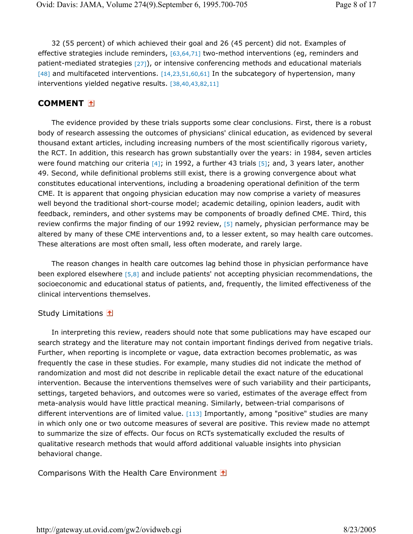32 (55 percent) of which achieved their goal and 26 (45 percent) did not. Examples of effective strategies include reminders, [63,64,71] two-method interventions (eq, reminders and patient-mediated strategies [27]), or intensive conferencing methods and educational materials [48] and multifaceted interventions. [14,23,51,60,61] In the subcategory of hypertension, many interventions yielded negative results. [38,40,43,82,11]

## **COMMENT**

The evidence provided by these trials supports some clear conclusions. First, there is a robust body of research assessing the outcomes of physicians' clinical education, as evidenced by several thousand extant articles, including increasing numbers of the most scientifically rigorous variety, the RCT. In addition, this research has grown substantially over the years: in 1984, seven articles were found matching our criteria  $[4]$ ; in 1992, a further 43 trials  $[5]$ ; and, 3 years later, another 49. Second, while definitional problems still exist, there is a growing convergence about what constitutes educational interventions, including a broadening operational definition of the term CME. It is apparent that ongoing physician education may now comprise a variety of measures well beyond the traditional short-course model; academic detailing, opinion leaders, audit with feedback, reminders, and other systems may be components of broadly defined CME. Third, this review confirms the major finding of our 1992 review, [5] namely, physician performance may be altered by many of these CME interventions and, to a lesser extent, so may health care outcomes. These alterations are most often small, less often moderate, and rarely large.

The reason changes in health care outcomes lag behind those in physician performance have been explored elsewhere [5,8] and include patients' not accepting physician recommendations, the socioeconomic and educational status of patients, and, frequently, the limited effectiveness of the clinical interventions themselves.

## Study Limitations 1

In interpreting this review, readers should note that some publications may have escaped our search strategy and the literature may not contain important findings derived from negative trials. Further, when reporting is incomplete or vague, data extraction becomes problematic, as was frequently the case in these studies. For example, many studies did not indicate the method of randomization and most did not describe in replicable detail the exact nature of the educational intervention. Because the interventions themselves were of such variability and their participants, settings, targeted behaviors, and outcomes were so varied, estimates of the average effect from meta-analysis would have little practical meaning. Similarly, between-trial comparisons of different interventions are of limited value. [113] Importantly, among "positive" studies are many in which only one or two outcome measures of several are positive. This review made no attempt to summarize the size of effects. Our focus on RCTs systematically excluded the results of qualitative research methods that would afford additional valuable insights into physician behavioral change.

Comparisons With the Health Care Environment **1**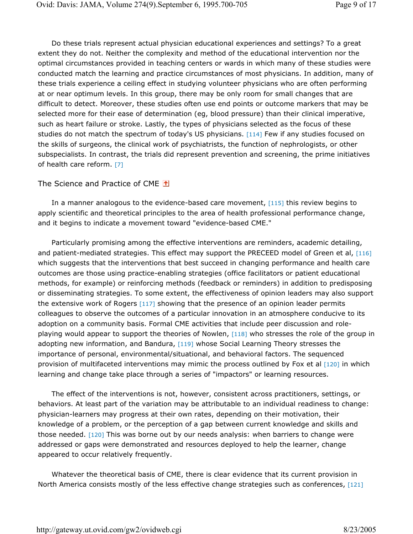Do these trials represent actual physician educational experiences and settings? To a great extent they do not. Neither the complexity and method of the educational intervention nor the optimal circumstances provided in teaching centers or wards in which many of these studies were conducted match the learning and practice circumstances of most physicians. In addition, many of these trials experience a ceiling effect in studying volunteer physicians who are often performing at or near optimum levels. In this group, there may be only room for small changes that are difficult to detect. Moreover, these studies often use end points or outcome markers that may be selected more for their ease of determination (eg, blood pressure) than their clinical imperative, such as heart failure or stroke. Lastly, the types of physicians selected as the focus of these studies do not match the spectrum of today's US physicians. [114] Few if any studies focused on the skills of surgeons, the clinical work of psychiatrists, the function of nephrologists, or other subspecialists. In contrast, the trials did represent prevention and screening, the prime initiatives of health care reform. [7]

## The Science and Practice of CME 1

In a manner analogous to the evidence-based care movement, [115] this review begins to apply scientific and theoretical principles to the area of health professional performance change, and it begins to indicate a movement toward "evidence-based CME."

Particularly promising among the effective interventions are reminders, academic detailing, and patient-mediated strategies. This effect may support the PRECEED model of Green et al, [116] which suggests that the interventions that best succeed in changing performance and health care outcomes are those using practice-enabling strategies (office facilitators or patient educational methods, for example) or reinforcing methods (feedback or reminders) in addition to predisposing or disseminating strategies. To some extent, the effectiveness of opinion leaders may also support the extensive work of Rogers [117] showing that the presence of an opinion leader permits colleagues to observe the outcomes of a particular innovation in an atmosphere conducive to its adoption on a community basis. Formal CME activities that include peer discussion and roleplaying would appear to support the theories of Nowlen, [118] who stresses the role of the group in adopting new information, and Bandura, [119] whose Social Learning Theory stresses the importance of personal, environmental/situational, and behavioral factors. The sequenced provision of multifaceted interventions may mimic the process outlined by Fox et al [120] in which learning and change take place through a series of "impactors" or learning resources.

The effect of the interventions is not, however, consistent across practitioners, settings, or behaviors. At least part of the variation may be attributable to an individual readiness to change: physician-learners may progress at their own rates, depending on their motivation, their knowledge of a problem, or the perception of a gap between current knowledge and skills and those needed. [120] This was borne out by our needs analysis: when barriers to change were addressed or gaps were demonstrated and resources deployed to help the learner, change appeared to occur relatively frequently.

Whatever the theoretical basis of CME, there is clear evidence that its current provision in North America consists mostly of the less effective change strategies such as conferences, [121]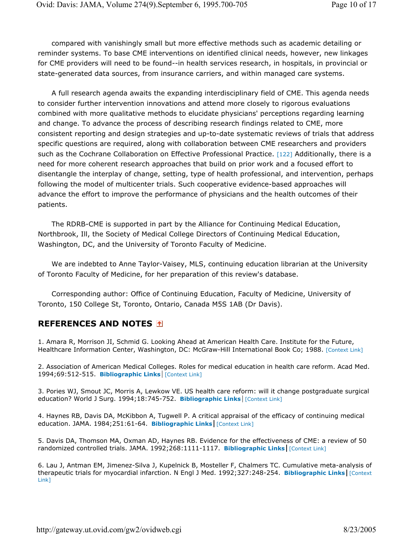compared with vanishingly small but more effective methods such as academic detailing or reminder systems. To base CME interventions on identified clinical needs, however, new linkages for CME providers will need to be found--in health services research, in hospitals, in provincial or state-generated data sources, from insurance carriers, and within managed care systems.

A full research agenda awaits the expanding interdisciplinary field of CME. This agenda needs to consider further intervention innovations and attend more closely to rigorous evaluations combined with more qualitative methods to elucidate physicians' perceptions regarding learning and change. To advance the process of describing research findings related to CME, more consistent reporting and design strategies and up-to-date systematic reviews of trials that address specific questions are required, along with collaboration between CME researchers and providers such as the Cochrane Collaboration on Effective Professional Practice. [122] Additionally, there is a need for more coherent research approaches that build on prior work and a focused effort to disentangle the interplay of change, setting, type of health professional, and intervention, perhaps following the model of multicenter trials. Such cooperative evidence-based approaches will advance the effort to improve the performance of physicians and the health outcomes of their patients.

The RDRB-CME is supported in part by the Alliance for Continuing Medical Education, Northbrook, Ill, the Society of Medical College Directors of Continuing Medical Education, Washington, DC, and the University of Toronto Faculty of Medicine.

We are indebted to Anne Taylor-Vaisey, MLS, continuing education librarian at the University of Toronto Faculty of Medicine, for her preparation of this review's database.

Corresponding author: Office of Continuing Education, Faculty of Medicine, University of Toronto, 150 College St, Toronto, Ontario, Canada M5S 1AB (Dr Davis).

## **REFERENCES AND NOTES**

1. Amara R, Morrison JI, Schmid G. Looking Ahead at American Health Care. Institute for the Future, Healthcare Information Center, Washington, DC: McGraw-Hill International Book Co; 1988. [Context Link]

2. Association of American Medical Colleges. Roles for medical education in health care reform. Acad Med. 1994;69:512-515. **Bibliographic Links** [Context Link]

3. Pories WJ, Smout JC, Morris A, Lewkow VE. US health care reform: will it change postgraduate surgical education? World J Surg. 1994;18:745-752. **Bibliographic Links** [Context Link]

4. Haynes RB, Davis DA, McKibbon A, Tugwell P. A critical appraisal of the efficacy of continuing medical education. JAMA. 1984;251:61-64. **Bibliographic Links** [Context Link]

5. Davis DA, Thomson MA, Oxman AD, Haynes RB. Evidence for the effectiveness of CME: a review of 50 randomized controlled trials. JAMA. 1992;268:1111-1117. **Bibliographic Links** [Context Link]

6. Lau J, Antman EM, Jimenez-Silva J, Kupelnick B, Mosteller F, Chalmers TC. Cumulative meta-analysis of therapeutic trials for myocardial infarction. N Engl J Med. 1992;327:248-254. **Bibliographic Links** [Context Link]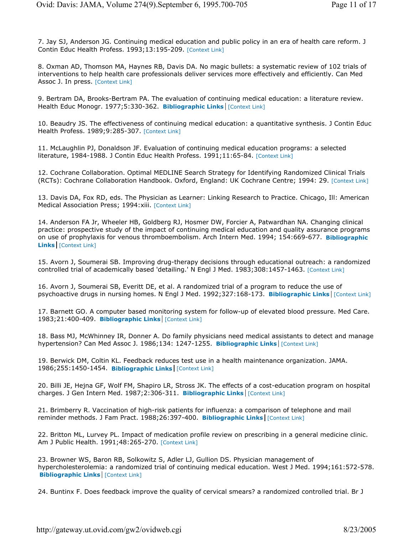7. Jay SJ, Anderson JG. Continuing medical education and public policy in an era of health care reform. J Contin Educ Health Profess. 1993;13:195-209. [Context Link]

8. Oxman AD, Thomson MA, Haynes RB, Davis DA. No magic bullets: a systematic review of 102 trials of interventions to help health care professionals deliver services more effectively and efficiently. Can Med Assoc J. In press. [Context Link]

9. Bertram DA, Brooks-Bertram PA. The evaluation of continuing medical education: a literature review. Health Educ Monogr. 1977;5:330-362. **Bibliographic Links** [Context Link]

10. Beaudry JS. The effectiveness of continuing medical education: a quantitative synthesis. J Contin Educ Health Profess. 1989;9:285-307. [Context Link]

11. McLaughlin PJ, Donaldson JF. Evaluation of continuing medical education programs: a selected literature, 1984-1988. J Contin Educ Health Profess. 1991;11:65-84. [Context Link]

12. Cochrane Collaboration. Optimal MEDLINE Search Strategy for Identifying Randomized Clinical Trials (RCTs): Cochrane Collaboration Handbook. Oxford, England: UK Cochrane Centre; 1994: 29. [Context Link]

13. Davis DA, Fox RD, eds. The Physician as Learner: Linking Research to Practice. Chicago, Ill: American Medical Association Press; 1994: xiii. [Context Link]

14. Anderson FA Jr, Wheeler HB, Goldberg RJ, Hosmer DW, Forcier A, Patwardhan NA. Changing clinical practice: prospective study of the impact of continuing medical education and quality assurance programs on use of prophylaxis for venous thromboembolism. Arch Intern Med. 1994; 154:669-677. **Bibliographic Links** [Context Link]

15. Avorn J, Soumerai SB. Improving drug-therapy decisions through educational outreach: a randomized controlled trial of academically based 'detailing.' N Engl J Med. 1983;308:1457-1463. [Context Link]

16. Avorn J, Soumerai SB, Everitt DE, et al. A randomized trial of a program to reduce the use of psychoactive drugs in nursing homes. N Engl J Med. 1992;327:168-173. **Bibliographic Links** [Context Link]

17. Barnett GO. A computer based monitoring system for follow-up of elevated blood pressure. Med Care. 1983;21:400-409. **Bibliographic Links** [Context Link]

18. Bass MJ, McWhinney IR, Donner A. Do family physicians need medical assistants to detect and manage hypertension? Can Med Assoc J. 1986;134: 1247-1255. **Bibliographic Links** [Context Link]

19. Berwick DM, Coltin KL. Feedback reduces test use in a health maintenance organization. JAMA. 1986;255:1450-1454. **Bibliographic Links** [Context Link]

20. Billi JE, Hejna GF, Wolf FM, Shapiro LR, Stross JK. The effects of a cost-education program on hospital charges. J Gen Intern Med. 1987;2:306-311. **Bibliographic Links** [Context Link]

21. Brimberry R. Vaccination of high-risk patients for influenza: a comparison of telephone and mail reminder methods. J Fam Pract. 1988;26:397-400. **Bibliographic Links** [Context Link]

22. Britton ML, Lurvey PL. Impact of medication profile review on prescribing in a general medicine clinic. Am J Public Health. 1991;48:265-270. [Context Link]

23. Browner WS, Baron RB, Solkowitz S, Adler LJ, Gullion DS. Physician management of hypercholesterolemia: a randomized trial of continuing medical education. West J Med. 1994;161:572-578. **Bibliographic Links** [Context Link]

24. Buntinx F. Does feedback improve the quality of cervical smears? a randomized controlled trial. Br J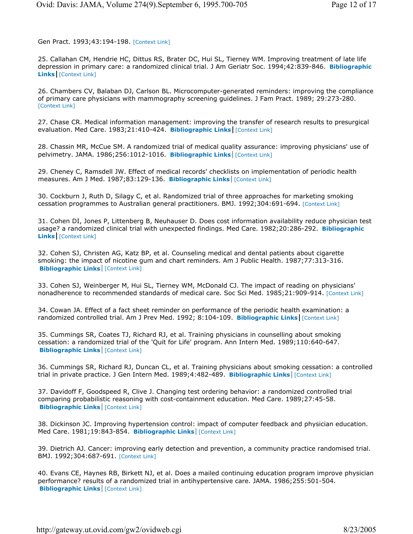Gen Pract. 1993;43:194-198. [Context Link]

25. Callahan CM, Hendrie HC, Dittus RS, Brater DC, Hui SL, Tierney WM. Improving treatment of late life depression in primary care: a randomized clinical trial. J Am Geriatr Soc. 1994;42:839-846. **Bibliographic Links** [Context Link]

26. Chambers CV, Balaban DJ, Carlson BL. Microcomputer-generated reminders: improving the compliance of primary care physicians with mammography screening guidelines. J Fam Pract. 1989; 29:273-280. [Context Link]

27. Chase CR. Medical information management: improving the transfer of research results to presurgical evaluation. Med Care. 1983;21:410-424. **Bibliographic Links** [Context Link]

28. Chassin MR, McCue SM. A randomized trial of medical quality assurance: improving physicians' use of pelvimetry. JAMA. 1986;256:1012-1016. **Bibliographic Links** [Context Link]

29. Cheney C, Ramsdell JW. Effect of medical records' checklists on implementation of periodic health measures. Am J Med. 1987;83:129-136. **Bibliographic Links** [Context Link]

30. Cockburn J, Ruth D, Silagy C, et al. Randomized trial of three approaches for marketing smoking cessation programmes to Australian general practitioners. BMJ. 1992;304:691-694. [Context Link]

31. Cohen DI, Jones P, Littenberg B, Neuhauser D. Does cost information availability reduce physician test usage? a randomized clinical trial with unexpected findings. Med Care. 1982;20:286-292. **Bibliographic Links** [Context Link]

32. Cohen SJ, Christen AG, Katz BP, et al. Counseling medical and dental patients about cigarette smoking: the impact of nicotine gum and chart reminders. Am J Public Health. 1987;77:313-316. **Bibliographic Links** [Context Link]

33. Cohen SJ, Weinberger M, Hui SL, Tierney WM, McDonald CJ. The impact of reading on physicians' nonadherence to recommended standards of medical care. Soc Sci Med. 1985;21:909-914. [Context Link]

34. Cowan JA. Effect of a fact sheet reminder on performance of the periodic health examination: a randomized controlled trial. Am J Prev Med. 1992; 8:104-109. Bibliographic Links [Context Link]

35. Cummings SR, Coates TJ, Richard RJ, et al. Training physicians in counselling about smoking cessation: a randomized trial of the 'Quit for Life' program. Ann Intern Med. 1989;110:640-647. **Bibliographic Links** [Context Link]

36. Cummings SR, Richard RJ, Duncan CL, et al. Training physicians about smoking cessation: a controlled trial in private practice. J Gen Intern Med. 1989;4:482-489. **Bibliographic Links** [Context Link]

37. Davidoff F, Goodspeed R, Clive J. Changing test ordering behavior: a randomized controlled trial comparing probabilistic reasoning with cost-containment education. Med Care. 1989;27:45-58. **Bibliographic Links** [Context Link]

38. Dickinson JC. Improving hypertension control: impact of computer feedback and physician education. Med Care. 1981;19:843-854. **Bibliographic Links** [Context Link]

39. Dietrich AJ. Cancer: improving early detection and prevention, a community practice randomised trial. BMJ. 1992;304:687-691. [Context Link]

40. Evans CE, Haynes RB, Birkett NJ, et al. Does a mailed continuing education program improve physician performance? results of a randomized trial in antihypertensive care. JAMA. 1986;255:501-504. **Bibliographic Links** [Context Link]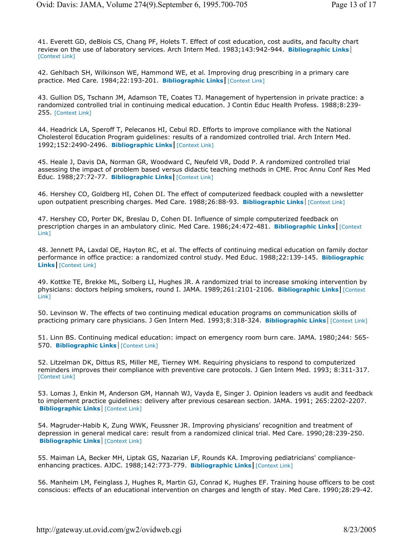41. Everett GD, deBlois CS, Chang PF, Holets T. Effect of cost education, cost audits, and faculty chart review on the use of laboratory services. Arch Intern Med. 1983;143:942-944. **Bibliographic Links** [Context Link]

42. Gehlbach SH, Wilkinson WE, Hammond WE, et al. Improving drug prescribing in a primary care practice. Med Care. 1984;22:193-201. **Bibliographic Links** [Context Link]

43. Gullion DS, Tschann JM, Adamson TE, Coates TJ. Management of hypertension in private practice: a randomized controlled trial in continuing medical education. J Contin Educ Health Profess. 1988;8:239- 255. [Context Link]

44. Headrick LA, Speroff T, Pelecanos HI, Cebul RD. Efforts to improve compliance with the National Cholesterol Education Program guidelines: results of a randomized controlled trial. Arch Intern Med. 1992;152:2490-2496. **Bibliographic Links** [Context Link]

45. Heale J, Davis DA, Norman GR, Woodward C, Neufeld VR, Dodd P. A randomized controlled trial assessing the impact of problem based versus didactic teaching methods in CME. Proc Annu Conf Res Med Educ. 1988;27:72-77. **Bibliographic Links** [Context Link]

46. Hershey CO, Goldberg HI, Cohen DI. The effect of computerized feedback coupled with a newsletter upon outpatient prescribing charges. Med Care. 1988;26:88-93. **Bibliographic Links** [Context Link]

47. Hershey CO, Porter DK, Breslau D, Cohen DI. Influence of simple computerized feedback on prescription charges in an ambulatory clinic. Med Care. 1986;24:472-481. **Bibliographic Links** [Context Link]

48. Jennett PA, Laxdal OE, Hayton RC, et al. The effects of continuing medical education on family doctor performance in office practice: a randomized control study. Med Educ. 1988;22:139-145. **Bibliographic Links** [Context Link]

49. Kottke TE, Brekke ML, Solberg LI, Hughes JR. A randomized trial to increase smoking intervention by physicians: doctors helping smokers, round I. JAMA. 1989;261:2101-2106. **Bibliographic Links** [Context Link]

50. Levinson W. The effects of two continuing medical education programs on communication skills of practicing primary care physicians. J Gen Intern Med. 1993;8:318-324. **Bibliographic Links** [Context Link]

51. Linn BS. Continuing medical education: impact on emergency room burn care. JAMA. 1980;244: 565- 570. **Bibliographic Links** [Context Link]

52. Litzelman DK, Dittus RS, Miller ME, Tierney WM. Requiring physicians to respond to computerized reminders improves their compliance with preventive care protocols. J Gen Intern Med. 1993; 8:311-317. [Context Link]

53. Lomas J, Enkin M, Anderson GM, Hannah WJ, Vayda E, Singer J. Opinion leaders vs audit and feedback to implement practice guidelines: delivery after previous cesarean section. JAMA. 1991; 265:2202-2207. **Bibliographic Links** [Context Link]

54. Magruder-Habib K, Zung WWK, Feussner JR. Improving physicians' recognition and treatment of depression in general medical care: result from a randomized clinical trial. Med Care. 1990;28:239-250. **Bibliographic Links** [Context Link]

55. Maiman LA, Becker MH, Liptak GS, Nazarian LF, Rounds KA. Improving pediatricians' complianceenhancing practices. AJDC. 1988;142:773-779. **Bibliographic Links** [Context Link]

56. Manheim LM, Feinglass J, Hughes R, Martin GJ, Conrad K, Hughes EF. Training house officers to be cost conscious: effects of an educational intervention on charges and length of stay. Med Care. 1990;28:29-42.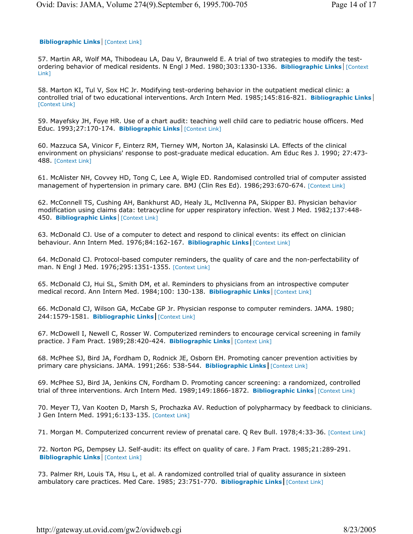#### **Bibliographic Links** [Context Link]

57. Martin AR, Wolf MA, Thibodeau LA, Dau V, Braunweld E. A trial of two strategies to modify the testordering behavior of medical residents. N Engl J Med. 1980;303:1330-1336. **Bibliographic Links** [Context Link]

58. Marton KI, Tul V, Sox HC Jr. Modifying test-ordering behavior in the outpatient medical clinic: a controlled trial of two educational interventions. Arch Intern Med. 1985;145:816-821. **Bibliographic Links** [Context Link]

59. Mayefsky JH, Foye HR. Use of a chart audit: teaching well child care to pediatric house officers. Med Educ. 1993;27:170-174. **Bibliographic Links** [Context Link]

60. Mazzuca SA, Vinicor F, Einterz RM, Tierney WM, Norton JA, Kalasinski LA. Effects of the clinical environment on physicians' response to post-graduate medical education. Am Educ Res J. 1990; 27:473- 488. [Context Link]

61. McAlister NH, Covvey HD, Tong C, Lee A, Wigle ED. Randomised controlled trial of computer assisted management of hypertension in primary care. BMJ (Clin Res Ed). 1986;293:670-674. [Context Link]

62. McConnell TS, Cushing AH, Bankhurst AD, Healy JL, McIlvenna PA, Skipper BJ. Physician behavior modification using claims data: tetracycline for upper respiratory infection. West J Med. 1982;137:448- 450. **Bibliographic Links** [Context Link]

63. McDonald CJ. Use of a computer to detect and respond to clinical events: its effect on clinician behaviour. Ann Intern Med. 1976;84:162-167. **Bibliographic Links** [Context Link]

64. McDonald CJ. Protocol-based computer reminders, the quality of care and the non-perfectability of man. N Engl J Med. 1976;295:1351-1355. [Context Link]

65. McDonald CJ, Hui SL, Smith DM, et al. Reminders to physicians from an introspective computer medical record. Ann Intern Med. 1984;100: 130-138. **Bibliographic Links** [Context Link]

66. McDonald CJ, Wilson GA, McCabe GP Jr. Physician response to computer reminders. JAMA. 1980; 244:1579-1581. **Bibliographic Links** [Context Link]

67. McDowell I, Newell C, Rosser W. Computerized reminders to encourage cervical screening in family practice. J Fam Pract. 1989;28:420-424. **Bibliographic Links** [Context Link]

68. McPhee SJ, Bird JA, Fordham D, Rodnick JE, Osborn EH. Promoting cancer prevention activities by primary care physicians. JAMA. 1991;266: 538-544. **Bibliographic Links** [Context Link]

69. McPhee SJ, Bird JA, Jenkins CN, Fordham D. Promoting cancer screening: a randomized, controlled trial of three interventions. Arch Intern Med. 1989;149:1866-1872. **Bibliographic Links** [Context Link]

70. Meyer TJ, Van Kooten D, Marsh S, Prochazka AV. Reduction of polypharmacy by feedback to clinicians. J Gen Intern Med. 1991;6:133-135. [Context Link]

71. Morgan M. Computerized concurrent review of prenatal care. Q Rev Bull. 1978;4:33-36. [Context Link]

72. Norton PG, Dempsey LJ. Self-audit: its effect on quality of care. J Fam Pract. 1985;21:289-291. **Bibliographic Links** [Context Link]

73. Palmer RH, Louis TA, Hsu L, et al. A randomized controlled trial of quality assurance in sixteen ambulatory care practices. Med Care. 1985; 23:751-770. **Bibliographic Links** [Context Link]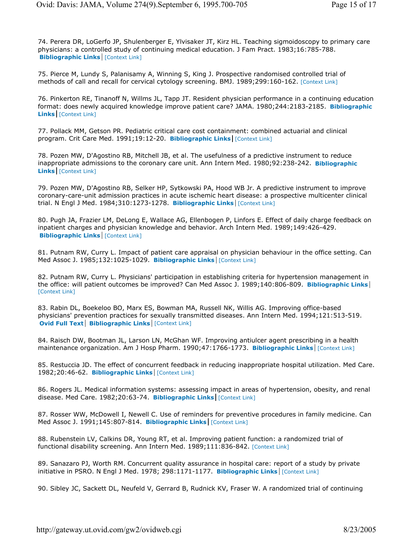74. Perera DR, LoGerfo JP, Shulenberger E, Ylvisaker JT, Kirz HL. Teaching sigmoidoscopy to primary care physicians: a controlled study of continuing medical education. J Fam Pract. 1983;16:785-788. **Bibliographic Links** [Context Link]

75. Pierce M, Lundy S, Palanisamy A, Winning S, King J. Prospective randomised controlled trial of methods of call and recall for cervical cytology screening. BMJ. 1989;299:160-162. [Context Link]

76. Pinkerton RE, Tinanoff N, Willms JL, Tapp JT. Resident physician performance in a continuing education format: does newly acquired knowledge improve patient care? JAMA. 1980;244:2183-2185. **Bibliographic Links** [Context Link]

77. Pollack MM, Getson PR. Pediatric critical care cost containment: combined actuarial and clinical program. Crit Care Med. 1991;19:12-20. **Bibliographic Links** [Context Link]

78. Pozen MW, D'Agostino RB, Mitchell JB, et al. The usefulness of a predictive instrument to reduce inappropriate admissions to the coronary care unit. Ann Intern Med. 1980;92:238-242. **Bibliographic Links** [Context Link]

79. Pozen MW, D'Agostino RB, Selker HP, Sytkowski PA, Hood WB Jr. A predictive instrument to improve coronary-care-unit admission practices in acute ischemic heart disease: a prospective multicenter clinical trial. N Engl J Med. 1984;310:1273-1278. **Bibliographic Links** [Context Link]

80. Pugh JA, Frazier LM, DeLong E, Wallace AG, Ellenbogen P, Linfors E. Effect of daily charge feedback on inpatient charges and physician knowledge and behavior. Arch Intern Med. 1989;149:426-429. **Bibliographic Links** [Context Link]

81. Putnam RW, Curry L. Impact of patient care appraisal on physician behaviour in the office setting. Can Med Assoc J. 1985;132:1025-1029. **Bibliographic Links** [Context Link]

82. Putnam RW, Curry L. Physicians' participation in establishing criteria for hypertension management in the office: will patient outcomes be improved? Can Med Assoc J. 1989;140:806-809. **Bibliographic Links** [Context Link]

83. Rabin DL, Boekeloo BO, Marx ES, Bowman MA, Russell NK, Willis AG. Improving office-based physicians' prevention practices for sexually transmitted diseases. Ann Intern Med. 1994;121:513-519. **Ovid Full Text | Bibliographic Links** [Context Link]

84. Raisch DW, Bootman JL, Larson LN, McGhan WF. Improving antiulcer agent prescribing in a health maintenance organization. Am J Hosp Pharm. 1990;47:1766-1773. **Bibliographic Links** [Context Link]

85. Restuccia JD. The effect of concurrent feedback in reducing inappropriate hospital utilization. Med Care. 1982;20:46-62. **Bibliographic Links** [Context Link]

86. Rogers JL. Medical information systems: assessing impact in areas of hypertension, obesity, and renal disease. Med Care. 1982;20:63-74. **Bibliographic Links** [Context Link]

87. Rosser WW, McDowell I, Newell C. Use of reminders for preventive procedures in family medicine. Can Med Assoc J. 1991;145:807-814. **Bibliographic Links** [Context Link]

88. Rubenstein LV, Calkins DR, Young RT, et al. Improving patient function: a randomized trial of functional disability screening. Ann Intern Med. 1989;111:836-842. [Context Link]

89. Sanazaro PJ, Worth RM. Concurrent quality assurance in hospital care: report of a study by private initiative in PSRO. N Engl J Med. 1978; 298:1171-1177. **Bibliographic Links** [Context Link]

90. Sibley JC, Sackett DL, Neufeld V, Gerrard B, Rudnick KV, Fraser W. A randomized trial of continuing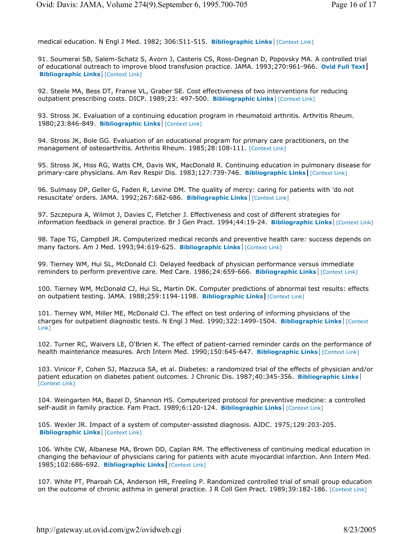medical education. N Engl J Med. 1982; 306:511-515. **Bibliographic Links** [Context Link]

91. Soumerai SB, Salem-Schatz S, Avorn J, Casteris CS, Ross-Degnan D, Popovsky MA. A controlled trial of educational outreach to improve blood transfusion practice. JAMA. 1993;270:961-966. **Ovid Full Text Bibliographic Links** [Context Link]

92. Steele MA, Bess DT, Franse VL, Graber SE. Cost effectiveness of two interventions for reducing outpatient prescribing costs. DICP. 1989;23: 497-500. **Bibliographic Links** [Context Link]

93. Stross JK. Evaluation of a continuing education program in rheumatoid arthritis. Arthritis Rheum. 1980;23:846-849. **Bibliographic Links** [Context Link]

94. Stross JK, Bole GG. Evaluation of an educational program for primary care practitioners, on the management of osteoarthritis. Arthritis Rheum. 1985;28:108-111. [Context Link]

95. Stross JK, Hiss RG, Watts CM, Davis WK, MacDonald R. Continuing education in pulmonary disease for primary-care physicians. Am Rev Respir Dis. 1983;127:739-746. **Bibliographic Links** [Context Link]

96. Sulmasy DP, Geller G, Faden R, Levine DM. The quality of mercy: caring for patients with 'do not resuscitate' orders. JAMA. 1992;267:682-686. **Bibliographic Links** [Context Link]

97. Szczepura A, Wilmot J, Davies C, Fletcher J. Effectiveness and cost of different strategies for information feedback in general practice. Br J Gen Pract. 1994;44:19-24. **Bibliographic Links** [Context Link]

98. Tape TG, Campbell JR. Computerized medical records and preventive health care: success depends on many factors. Am J Med. 1993;94:619-625. **Bibliographic Links** [Context Link]

99. Tierney WM, Hui SL, McDonald CJ. Delayed feedback of physician performance versus immediate reminders to perform preventive care. Med Care. 1986;24:659-666. **Bibliographic Links** [Context Link]

100. Tierney WM, McDonald CJ, Hui SL, Martin DK. Computer predictions of abnormal test results: effects on outpatient testing. JAMA. 1988;259:1194-1198. **Bibliographic Links** [Context Link]

101. Tierney WM, Miller ME, McDonald CJ. The effect on test ordering of informing physicians of the charges for outpatient diagnostic tests. N Engl J Med. 1990;322:1499-1504. **Bibliographic Links** [Context Link]

102. Turner RC, Waivers LE, O'Brien K. The effect of patient-carried reminder cards on the performance of health maintenance measures. Arch Intern Med. 1990;150:645-647. **Bibliographic Links** [Context Link]

103. Vinicor F, Cohen SJ, Mazzuca SA, et al. Diabetes: a randomized trial of the effects of physician and/or patient education on diabetes patient outcomes. J Chronic Dis. 1987;40:345-356. **Bibliographic Links** [Context Link]

104. Weingarten MA, Bazel D, Shannon HS. Computerized protocol for preventive medicine: a controlled self-audit in family practice. Fam Pract. 1989;6:120-124. **Bibliographic Links** [Context Link]

105. Wexler JR. Impact of a system of computer-assisted diagnosis. AJDC. 1975;129:203-205. **Bibliographic Links** [Context Link]

106. White CW, Albanese MA, Brown DD, Caplan RM. The effectiveness of continuing medical education in changing the behaviour of physicians caring for patients with acute myocardial infarction. Ann Intern Med. 1985;102:686-692. **Bibliographic Links** [Context Link]

107. White PT, Pharoah CA, Anderson HR, Freeling P. Randomized controlled trial of small group education on the outcome of chronic asthma in general practice. J R Coll Gen Pract. 1989;39:182-186. [Context Link]